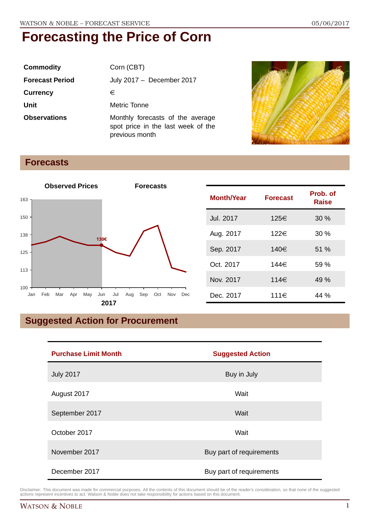| <b>Commodity</b>       | Corn (CBT)                                                                               |
|------------------------|------------------------------------------------------------------------------------------|
| <b>Forecast Period</b> | July 2017 - December 2017                                                                |
| <b>Currency</b>        | €                                                                                        |
| Unit                   | Metric Tonne                                                                             |
| <b>Observations</b>    | Monthly forecasts of the average<br>spot price in the last week of the<br>previous month |



### **Forecasts**



| <b>Month/Year</b> | <b>Forecast</b> | Prob. of<br><b>Raise</b> |
|-------------------|-----------------|--------------------------|
| Jul. 2017         | 125€            | 30%                      |
| Aug. 2017         | 122€            | 30%                      |
| Sep. 2017         | 140€            | 51 %                     |
| Oct. 2017         | 144€            | 59%                      |
| Nov. 2017         | 114€            | 49 %                     |
| Dec. 2017         | 111€            | 44 %                     |

## **Suggested Action for Procurement**

| <b>Purchase Limit Month</b> | <b>Suggested Action</b>  |  |
|-----------------------------|--------------------------|--|
| <b>July 2017</b>            | Buy in July              |  |
| August 2017                 | Wait                     |  |
| September 2017              | Wait                     |  |
| October 2017                | Wait                     |  |
| November 2017               | Buy part of requirements |  |
| December 2017               | Buy part of requirements |  |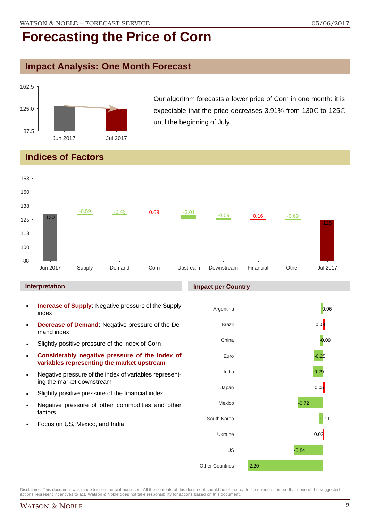### **Impact Analysis: One Month Forecast**



Our algorithm forecasts a lower price of Corn in one month: it is expectable that the price decreases 3.91% from 130 $\in$  to 125 $\in$ until the beginning of July.

## **Indices of Factors**



- Negative pressure of the index of variables representing the market downstream
- Slightly positive pressure of the financial index
- **Negative pressure of other commodities and other** factors
- Focus on US, Mexico, and India

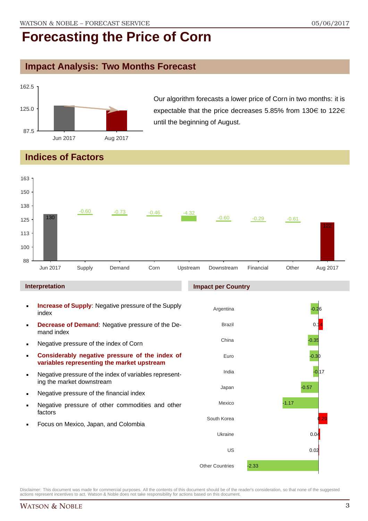### **Impact Analysis: Two Months Forecast**



Our algorithm forecasts a lower price of Corn in two months: it is expectable that the price decreases 5.85% from 130 $\in$  to 122 $\in$ until the beginning of August.

## **Indices of Factors**

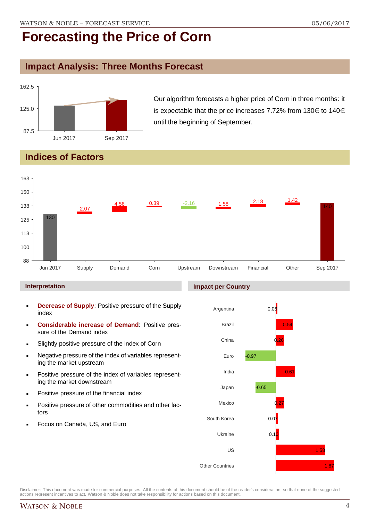### **Impact Analysis: Three Months Forecast**



Our algorithm forecasts a higher price of Corn in three months: it is expectable that the price increases 7.72% from 130 $\in$  to 140 $\in$ until the beginning of September.

## **Indices of Factors**



#### **Interpretation**

- **Decrease of Supply**: Positive pressure of the Supply index
- **Considerable increase of Demand**: Positive pressure of the Demand index
- **Slightly positive pressure of the index of Corn**
- Negative pressure of the index of variables representing the market upstream
- Positive pressure of the index of variables representing the market downstream
- **•** Positive pressure of the financial index
- **Positive pressure of other commodities and other fac**tors
- Focus on Canada, US, and Euro

#### **Impact per Country**

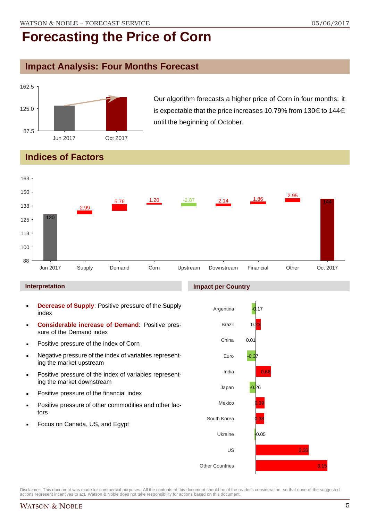### **Impact Analysis: Four Months Forecast**



Our algorithm forecasts a higher price of Corn in four months: it is expectable that the price increases 10.79% from 130 $\in$  to 144 $\in$ until the beginning of October.

## **Indices of Factors**



#### **Interpretation**

- **Decrease of Supply**: Positive pressure of the Supply index
- **Considerable increase of Demand**: Positive pressure of the Demand index
- Positive pressure of the index of Corn
- Negative pressure of the index of variables representing the market upstream
- Positive pressure of the index of variables representing the market downstream
- **•** Positive pressure of the financial index
- **Positive pressure of other commodities and other fac**tors
- Focus on Canada, US, and Egypt

#### **Impact per Country**

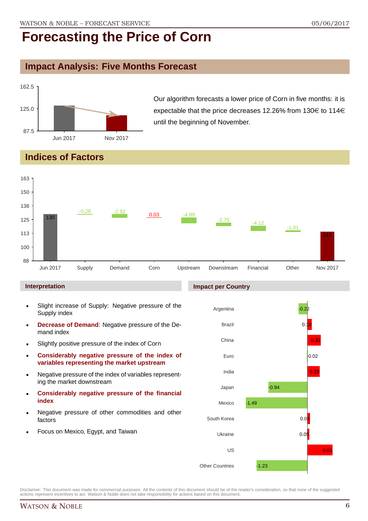### **Impact Analysis: Five Months Forecast**



Our algorithm forecasts a lower price of Corn in five months: it is expectable that the price decreases 12.26% from 130 $\in$  to 114 $\in$ until the beginning of November.

### **Indices of Factors**



#### **Interpretation**

- Slight increase of Supply: Negative pressure of the Supply index
- **Decrease of Demand**: Negative pressure of the Demand index
- **Slightly positive pressure of the index of Corn**
- **Considerably negative pressure of the index of variables representing the market upstream**
- Negative pressure of the index of variables representing the market downstream
- **Considerably negative pressure of the financial index**
- Negative pressure of other commodities and other factors
- Focus on Mexico, Egypt, and Taiwan

#### **Impact per Country**



Disclaimer: This document was made for commercial purposes. All the contents of this document should be of the reader's consideration, so that none of the suggested actions represent incentives to act. Watson & Noble does not take responsibility for actions based on this document.

#### WATSON & NOBLE 6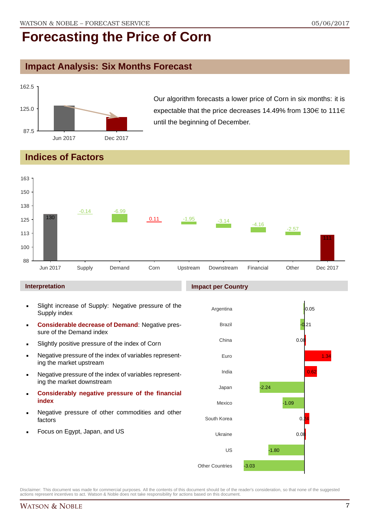### **Impact Analysis: Six Months Forecast**



Our algorithm forecasts a lower price of Corn in six months: it is expectable that the price decreases 14.49% from 130 $\in$  to 111 $\in$ until the beginning of December.

### **Indices of Factors**



#### **Interpretation**

- Slight increase of Supply: Negative pressure of the Supply index
- **Considerable decrease of Demand**: Negative pressure of the Demand index
- **Slightly positive pressure of the index of Corn**
- Negative pressure of the index of variables representing the market upstream
- Negative pressure of the index of variables representing the market downstream
- **Considerably negative pressure of the financial index**
- Negative pressure of other commodities and other factors
- Focus on Egypt, Japan, and US

#### **Impact per Country**

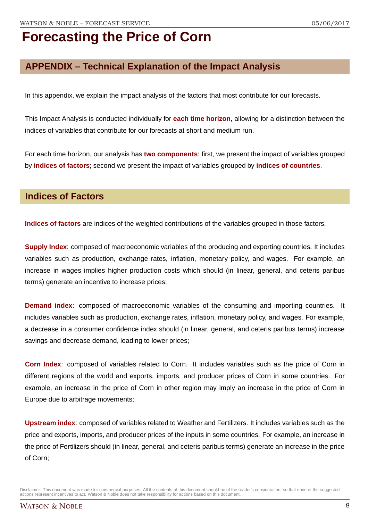### **APPENDIX – Technical Explanation of the Impact Analysis**

In this appendix, we explain the impact analysis of the factors that most contribute for our forecasts.

This Impact Analysis is conducted individually for **each time horizon**, allowing for a distinction between the indices of variables that contribute for our forecasts at short and medium run.

For each time horizon, our analysis has **two components**: first, we present the impact of variables grouped by **indices of factors**; second we present the impact of variables grouped by **indices of countries**.

#### **Indices of Factors**

**Indices of factors** are indices of the weighted contributions of the variables grouped in those factors.

**Supply Index**: composed of macroeconomic variables of the producing and exporting countries. It includes variables such as production, exchange rates, inflation, monetary policy, and wages. For example, an increase in wages implies higher production costs which should (in linear, general, and ceteris paribus terms) generate an incentive to increase prices;

**Demand index**: composed of macroeconomic variables of the consuming and importing countries. It includes variables such as production, exchange rates, inflation, monetary policy, and wages. For example, a decrease in a consumer confidence index should (in linear, general, and ceteris paribus terms) increase savings and decrease demand, leading to lower prices;

**Corn Index**: composed of variables related to Corn. It includes variables such as the price of Corn in different regions of the world and exports, imports, and producer prices of Corn in some countries. For example, an increase in the price of Corn in other region may imply an increase in the price of Corn in Europe due to arbitrage movements;

**Upstream index**: composed of variables related to Weather and Fertilizers. It includes variables such as the price and exports, imports, and producer prices of the inputs in some countries. For example, an increase in the price of Fertilizers should (in linear, general, and ceteris paribus terms) generate an increase in the price of Corn;